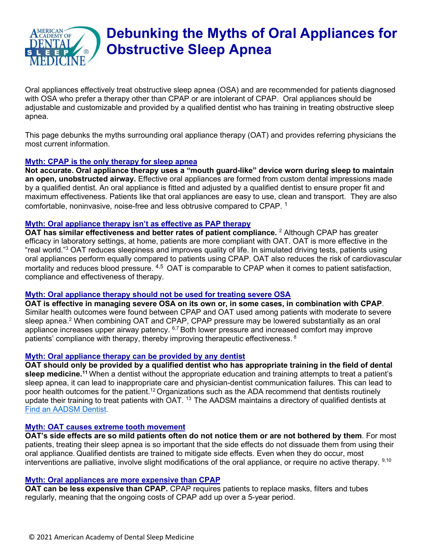

# **Debunking the Myths of Oral Appliances for Obstructive Sleep Apnea**

Oral appliances effectively treat obstructive sleep apnea (OSA) and are recommended for patients diagnosed with OSA who prefer a therapy other than CPAP or are intolerant of CPAP. Oral appliances should be adjustable and customizable and provided by a qualified dentist who has training in treating obstructive sleep apnea.

This page debunks the myths surrounding oral appliance therapy (OAT) and provides referring physicians the most current information.

## **Myth: CPAP is the only therapy for sleep apnea**

**Not accurate. Oral appliance therapy uses a "mouth guard-like" device worn during sleep to maintain an open, unobstructed airway.** Effective oral appliances are formed from custom dental impressions made by a qualified dentist. An oral appliance is fitted and adjusted by a qualified dentist to ensure proper fit and maximum effectiveness. Patients like that oral appliances are easy to use, clean and transport. They are also comfortable, noninvasive, noise-free and less obtrusive compared to CPAP. <sup>1</sup>

## **Myth: Oral appliance therapy isn't as effective as PAP therapy**

**OAT has similar effectiveness and better rates of patient compliance.** <sup>2</sup> Although CPAP has greater efficacy in laboratory settings, at home, patients are more compliant with OAT. OAT is more effective in the "real world."3 OAT reduces sleepiness and improves quality of life. In simulated driving tests, patients using oral appliances perform equally compared to patients using CPAP. OAT also reduces the risk of cardiovascular mortality and reduces blood pressure. 4,5 OAT is comparable to CPAP when it comes to patient satisfaction, compliance and effectiveness of therapy.

## **Myth: Oral appliance therapy should not be used for treating severe OSA**

**OAT is effective in managing severe OSA on its own or, in some cases, in combination with CPAP**. Similar health outcomes were found between CPAP and OAT used among patients with moderate to severe sleep apnea.<sup>2</sup> When combining OAT and CPAP, CPAP pressure may be lowered substantially as an oral appliance increases upper airway patency. <sup>6,7</sup> Both lower pressure and increased comfort may improve patients' compliance with therapy, thereby improving therapeutic effectiveness. <sup>8</sup>

## **Myth: Oral appliance therapy can be provided by any dentist**

**OAT should only be provided by a qualified dentist who has appropriate training in the field of dental sleep medicine.11** When a dentist without the appropriate education and training attempts to treat a patient's sleep apnea, it can lead to inappropriate care and physician-dentist communication failures. This can lead to poor health outcomes for the patient.<sup>12</sup> Organizations such as the ADA recommend that dentists routinely update their training to treat patients with OAT. 13 The AADSM maintains a directory of qualified dentists at [Find an AADSM Dentist.](https://mms.aadsm.org/members/directory/search_bootstrap.php?org_id=ADSM)

## **Myth: OAT causes extreme tooth movement**

**OAT's side effects are so mild patients often do not notice them or are not bothered by them**. For most patients, treating their sleep apnea is so important that the side effects do not dissuade them from using their oral appliance. Qualified dentists are trained to mitigate side effects. Even when they do occur, most interventions are palliative, involve slight modifications of the oral appliance, or require no active therapy. <sup>9,10</sup>

## **Myth: Oral appliances are more expensive than CPAP**

**OAT can be less expensive than CPAP.** CPAP requires patients to replace masks, filters and tubes regularly, meaning that the ongoing costs of CPAP add up over a 5-year period.